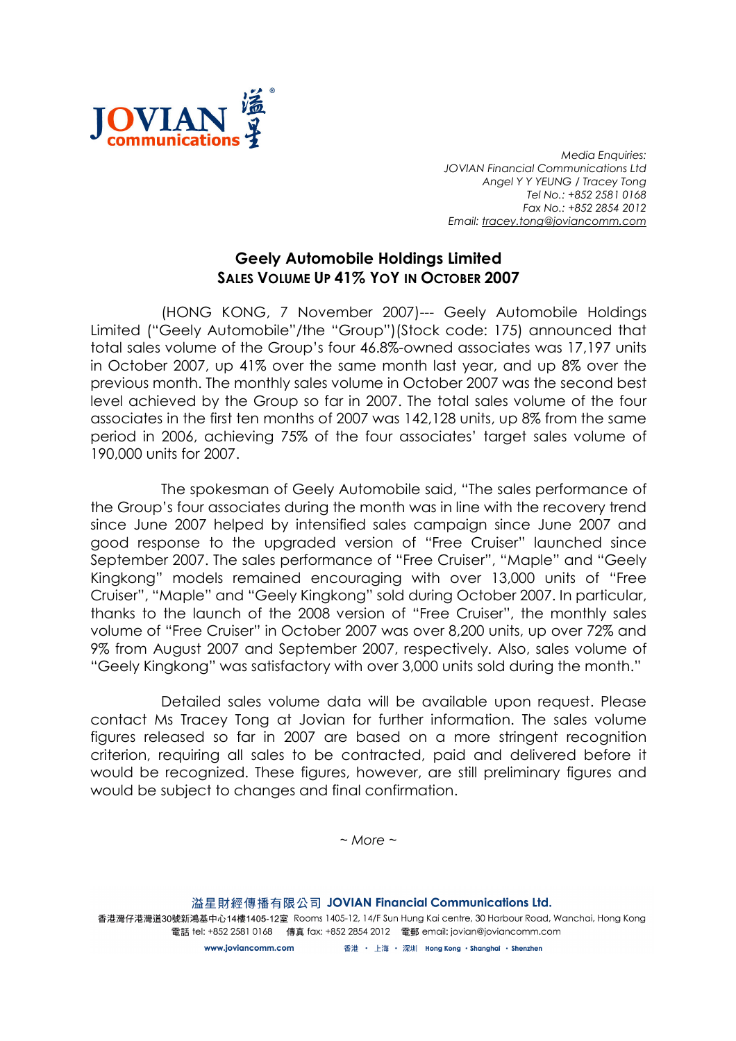

Media Enquiries: JOVIAN Financial Communications Ltd Angel Y Y YEUNG / Tracey Tong Tel No.: +852 2581 0168 Fax No.: +852 2854 2012 Email: tracey.tong@joviancomm.com

## Geely Automobile Holdings Limited SALES VOLUME UP 41% YOY IN OCTOBER 2007

(HONG KONG, 7 November 2007)--- Geely Automobile Holdings Limited ("Geely Automobile"/the "Group")(Stock code: 175) announced that total sales volume of the Group's four 46.8%-owned associates was 17,197 units in October 2007, up 41% over the same month last year, and up 8% over the previous month. The monthly sales volume in October 2007 was the second best level achieved by the Group so far in 2007. The total sales volume of the four associates in the first ten months of 2007 was 142,128 units, up 8% from the same period in 2006, achieving 75% of the four associates' target sales volume of 190,000 units for 2007.

The spokesman of Geely Automobile said, "The sales performance of the Group's four associates during the month was in line with the recovery trend since June 2007 helped by intensified sales campaign since June 2007 and good response to the upgraded version of "Free Cruiser" launched since September 2007. The sales performance of "Free Cruiser", "Maple" and "Geely Kingkong" models remained encouraging with over 13,000 units of "Free Cruiser", "Maple" and "Geely Kingkong" sold during October 2007. In particular, thanks to the launch of the 2008 version of "Free Cruiser", the monthly sales volume of "Free Cruiser" in October 2007 was over 8,200 units, up over 72% and 9% from August 2007 and September 2007, respectively. Also, sales volume of "Geely Kingkong" was satisfactory with over 3,000 units sold during the month."

Detailed sales volume data will be available upon request. Please contact Ms Tracey Tong at Jovian for further information. The sales volume figures released so far in 2007 are based on a more stringent recognition criterion, requiring all sales to be contracted, paid and delivered before it would be recognized. These figures, however, are still preliminary figures and would be subject to changes and final confirmation.

 $~\sim$  More  $~\sim$